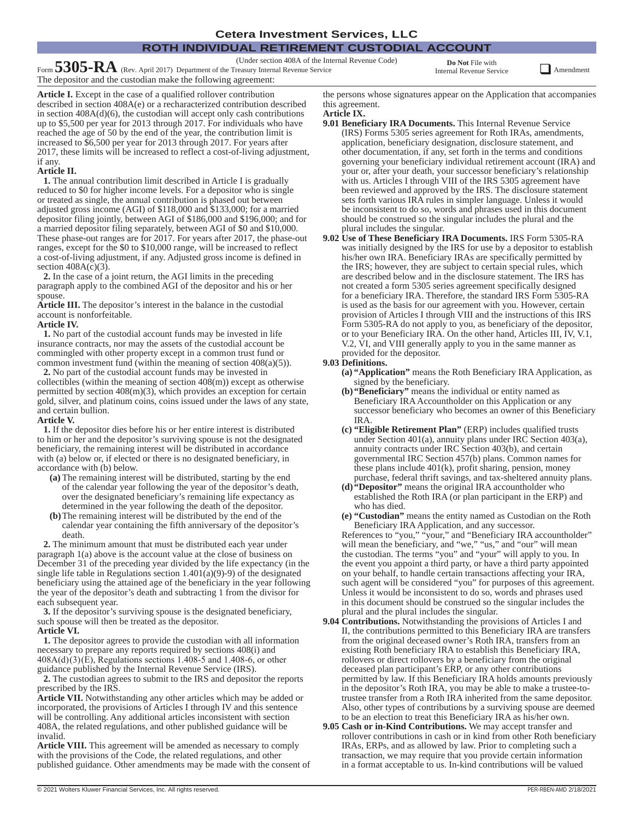#### **ROTH INDIVIDUAL RETIREMENT CUSTODIAL ACCOUNT Cetera Investment Services, LLC**

(Under section 408A of the Internal Revenue Code)

Form **5305-RA** (Rev. April 2017) Department of the Treasury Internal Revenue Service The depositor and the custodian make the following agreement:

**Do Not** File with

Internal Revenue Service **QAMENDER** Amendment

**Article I.** Except in the case of a qualified rollover contribution described in section 408A(e) or a recharacterized contribution described in section  $408A(d)(6)$ , the custodian will accept only cash contributions up to \$5,500 per year for 2013 through 2017. For individuals who have reached the age of 50 by the end of the year, the contribution limit is increased to \$6,500 per year for 2013 through 2017. For years after 2017, these limits will be increased to reflect a cost-of-living adjustment, if any.

#### **Article II.**

**1.** The annual contribution limit described in Article I is gradually reduced to \$0 for higher income levels. For a depositor who is single or treated as single, the annual contribution is phased out between adjusted gross income (AGI) of \$118,000 and \$133,000; for a married depositor filing jointly, between AGI of \$186,000 and \$196,000; and for a married depositor filing separately, between AGI of \$0 and \$10,000. These phase-out ranges are for 2017. For years after 2017, the phase-out ranges, except for the \$0 to \$10,000 range, will be increased to reflect a cost-of-living adjustment, if any. Adjusted gross income is defined in section  $408A(c)(3)$ .

**2.** In the case of a joint return, the AGI limits in the preceding paragraph apply to the combined AGI of the depositor and his or her spouse.

**Article III.** The depositor's interest in the balance in the custodial account is nonforfeitable.

#### **Article IV.**

**1.** No part of the custodial account funds may be invested in life insurance contracts, nor may the assets of the custodial account be commingled with other property except in a common trust fund or common investment fund (within the meaning of section 408(a)(5)).

**2.** No part of the custodial account funds may be invested in collectibles (within the meaning of section 408(m)) except as otherwise permitted by section 408(m)(3), which provides an exception for certain gold, silver, and platinum coins, coins issued under the laws of any state, and certain bullion.

#### **Article V.**

**1.** If the depositor dies before his or her entire interest is distributed to him or her and the depositor's surviving spouse is not the designated beneficiary, the remaining interest will be distributed in accordance with (a) below or, if elected or there is no designated beneficiary, in accordance with (b) below.

- **(a)** The remaining interest will be distributed, starting by the end of the calendar year following the year of the depositor's death, over the designated beneficiary's remaining life expectancy as determined in the year following the death of the depositor.
- **(b)**The remaining interest will be distributed by the end of the calendar year containing the fifth anniversary of the depositor's death.

**2.** The minimum amount that must be distributed each year under paragraph 1(a) above is the account value at the close of business on December 31 of the preceding year divided by the life expectancy (in the single life table in Regulations section  $1.401(a)(9)-9$  of the designated beneficiary using the attained age of the beneficiary in the year following the year of the depositor's death and subtracting 1 from the divisor for each subsequent year.

**3.** If the depositor's surviving spouse is the designated beneficiary, such spouse will then be treated as the depositor. **Article VI.**

**1.** The depositor agrees to provide the custodian with all information necessary to prepare any reports required by sections 408(i) and  $408A(d)(3)$ (E), Regulations sections 1.408-5 and 1.408-6, or other guidance published by the Internal Revenue Service (IRS).

**2.** The custodian agrees to submit to the IRS and depositor the reports prescribed by the IRS.

**Article VII.** Notwithstanding any other articles which may be added or incorporated, the provisions of Articles I through IV and this sentence will be controlling. Any additional articles inconsistent with section 408A, the related regulations, and other published guidance will be invalid.

**Article VIII.** This agreement will be amended as necessary to comply with the provisions of the Code, the related regulations, and other published guidance. Other amendments may be made with the consent of

the persons whose signatures appear on the Application that accompanies this agreement. **Article IX.**

- **9.01 Beneficiary IRA Documents.** This Internal Revenue Service (IRS) Forms 5305 series agreement for Roth IRAs, amendments, application, beneficiary designation, disclosure statement, and other documentation, if any, set forth in the terms and conditions governing your beneficiary individual retirement account (IRA) and your or, after your death, your successor beneficiary's relationship with us. Articles I through VIII of the IRS 5305 agreement have been reviewed and approved by the IRS. The disclosure statement sets forth various IRA rules in simpler language. Unless it would be inconsistent to do so, words and phrases used in this document should be construed so the singular includes the plural and the plural includes the singular.
- **9.02 Use of These Beneficiary IRA Documents.** IRS Form 5305-RA was initially designed by the IRS for use by a depositor to establish his/her own IRA. Beneficiary IRAs are specifically permitted by the IRS; however, they are subject to certain special rules, which are described below and in the disclosure statement. The IRS has not created a form 5305 series agreement specifically designed for a beneficiary IRA. Therefore, the standard IRS Form 5305-RA is used as the basis for our agreement with you. However, certain provision of Articles I through VIII and the instructions of this IRS Form 5305-RA do not apply to you, as beneficiary of the depositor, or to your Beneficiary IRA. On the other hand, Articles III, IV, V.1, V.2, VI, and VIII generally apply to you in the same manner as provided for the depositor.

#### **9.03 Definitions.**

- **(a) "Application"** means the Roth Beneficiary IRA Application, as signed by the beneficiary.
- **(b)"Beneficiary"** means the individual or entity named as Beneficiary IRA Accountholder on this Application or any successor beneficiary who becomes an owner of this Beneficiary IRA.
- **(c) "Eligible Retirement Plan"** (ERP) includes qualified trusts under Section 401(a), annuity plans under IRC Section 403(a), annuity contracts under IRC Section 403(b), and certain governmental IRC Section 457(b) plans. Common names for these plans include 401(k), profit sharing, pension, money purchase, federal thrift savings, and tax-sheltered annuity plans.
- **(d)"Depositor"** means the original IRA accountholder who established the Roth IRA (or plan participant in the ERP) and who has died.
- **(e) "Custodian"** means the entity named as Custodian on the Roth Beneficiary IRA Application, and any successor.

References to "you," "your," and "Beneficiary IRA accountholder" will mean the beneficiary, and "we," "us," and "our" will mean the custodian. The terms "you" and "your" will apply to you. In the event you appoint a third party, or have a third party appointed on your behalf, to handle certain transactions affecting your IRA, such agent will be considered "you" for purposes of this agreement. Unless it would be inconsistent to do so, words and phrases used in this document should be construed so the singular includes the plural and the plural includes the singular.

- **9.04 Contributions.** Notwithstanding the provisions of Articles I and II, the contributions permitted to this Beneficiary IRA are transfers from the original deceased owner's Roth IRA, transfers from an existing Roth beneficiary IRA to establish this Beneficiary IRA, rollovers or direct rollovers by a beneficiary from the original deceased plan participant's ERP, or any other contributions permitted by law. If this Beneficiary IRA holds amounts previously in the depositor's Roth IRA, you may be able to make a trustee-totrustee transfer from a Roth IRA inherited from the same depositor. Also, other types of contributions by a surviving spouse are deemed to be an election to treat this Beneficiary IRA as his/her own.
- **9.05 Cash or in-Kind Contributions.** We may accept transfer and rollover contributions in cash or in kind from other Roth beneficiary IRAs, ERPs, and as allowed by law. Prior to completing such a transaction, we may require that you provide certain information in a format acceptable to us. In-kind contributions will be valued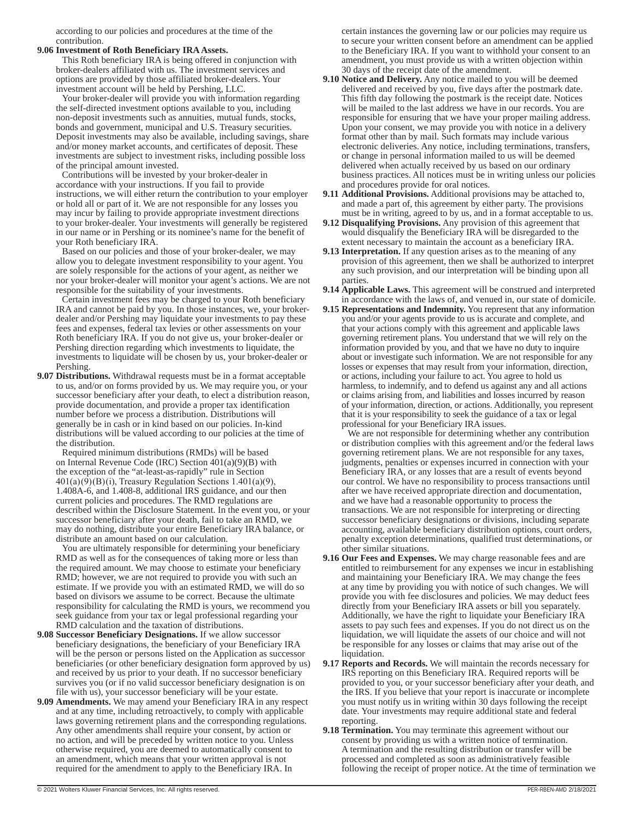according to our policies and procedures at the time of the contribution.

#### **9.06 Investment of Roth Beneficiary IRA Assets.**

This Roth beneficiary IRA is being offered in conjunction with broker-dealers affiliated with us. The investment services and options are provided by those affiliated broker-dealers. Your investment account will be held by Pershing, LLC.

Your broker-dealer will provide you with information regarding the self-directed investment options available to you, including non-deposit investments such as annuities, mutual funds, stocks, bonds and government, municipal and U.S. Treasury securities. Deposit investments may also be available, including savings, share and/or money market accounts, and certificates of deposit. These investments are subject to investment risks, including possible loss of the principal amount invested.

Contributions will be invested by your broker-dealer in accordance with your instructions. If you fail to provide instructions, we will either return the contribution to your employer or hold all or part of it. We are not responsible for any losses you may incur by failing to provide appropriate investment directions to your broker-dealer. Your investments will generally be registered in our name or in Pershing or its nominee's name for the benefit of your Roth beneficiary IRA.

Based on our policies and those of your broker-dealer, we may allow you to delegate investment responsibility to your agent. You are solely responsible for the actions of your agent, as neither we nor your broker-dealer will monitor your agent's actions. We are not responsible for the suitability of your investments.

Certain investment fees may be charged to your Roth beneficiary IRA and cannot be paid by you. In those instances, we, your brokerdealer and/or Pershing may liquidate your investments to pay these fees and expenses, federal tax levies or other assessments on your Roth beneficiary IRA. If you do not give us, your broker-dealer or Pershing direction regarding which investments to liquidate, the investments to liquidate will be chosen by us, your broker-dealer or Pershing.

**9.07 Distributions.** Withdrawal requests must be in a format acceptable to us, and/or on forms provided by us. We may require you, or your successor beneficiary after your death, to elect a distribution reason, provide documentation, and provide a proper tax identification number before we process a distribution. Distributions will generally be in cash or in kind based on our policies. In-kind distributions will be valued according to our policies at the time of the distribution.

Required minimum distributions (RMDs) will be based on Internal Revenue Code (IRC) Section 401(a)(9)(B) with the exception of the "at-least-as-rapidly" rule in Section  $401(a)(9)(B)(i)$ , Treasury Regulation Sections 1.401(a)(9), 1.408A-6, and 1.408-8, additional IRS guidance, and our then current policies and procedures. The RMD regulations are described within the Disclosure Statement. In the event you, or your successor beneficiary after your death, fail to take an RMD, we may do nothing, distribute your entire Beneficiary IRA balance, or distribute an amount based on our calculation.

You are ultimately responsible for determining your beneficiary RMD as well as for the consequences of taking more or less than the required amount. We may choose to estimate your beneficiary RMD; however, we are not required to provide you with such an estimate. If we provide you with an estimated RMD, we will do so based on divisors we assume to be correct. Because the ultimate responsibility for calculating the RMD is yours, we recommend you seek guidance from your tax or legal professional regarding your RMD calculation and the taxation of distributions.

- **9.08 Successor Beneficiary Designations.** If we allow successor beneficiary designations, the beneficiary of your Beneficiary IRA will be the person or persons listed on the Application as successor beneficiaries (or other beneficiary designation form approved by us) and received by us prior to your death. If no successor beneficiary survives you (or if no valid successor beneficiary designation is on file with us), your successor beneficiary will be your estate.
- **9.09 Amendments.** We may amend your Beneficiary IRA in any respect and at any time, including retroactively, to comply with applicable laws governing retirement plans and the corresponding regulations. Any other amendments shall require your consent, by action or no action, and will be preceded by written notice to you. Unless otherwise required, you are deemed to automatically consent to an amendment, which means that your written approval is not required for the amendment to apply to the Beneficiary IRA. In

certain instances the governing law or our policies may require us to secure your written consent before an amendment can be applied to the Beneficiary IRA. If you want to withhold your consent to an amendment, you must provide us with a written objection within 30 days of the receipt date of the amendment.

- **9.10 Notice and Delivery.** Any notice mailed to you will be deemed delivered and received by you, five days after the postmark date. This fifth day following the postmark is the receipt date. Notices will be mailed to the last address we have in our records. You are responsible for ensuring that we have your proper mailing address. Upon your consent, we may provide you with notice in a delivery format other than by mail. Such formats may include various electronic deliveries. Any notice, including terminations, transfers, or change in personal information mailed to us will be deemed delivered when actually received by us based on our ordinary business practices. All notices must be in writing unless our policies and procedures provide for oral notices.
- **9.11 Additional Provisions.** Additional provisions may be attached to, and made a part of, this agreement by either party. The provisions must be in writing, agreed to by us, and in a format acceptable to us.
- **9.12 Disqualifying Provisions.** Any provision of this agreement that would disqualify the Beneficiary IRA will be disregarded to the extent necessary to maintain the account as a beneficiary IRA.
- **9.13 Interpretation.** If any question arises as to the meaning of any provision of this agreement, then we shall be authorized to interpret any such provision, and our interpretation will be binding upon all parties.
- **9.14 Applicable Laws.** This agreement will be construed and interpreted in accordance with the laws of, and venued in, our state of domicile.
- **9.15 Representations and Indemnity.** You represent that any information you and/or your agents provide to us is accurate and complete, and that your actions comply with this agreement and applicable laws governing retirement plans. You understand that we will rely on the information provided by you, and that we have no duty to inquire about or investigate such information. We are not responsible for any losses or expenses that may result from your information, direction, or actions, including your failure to act. You agree to hold us harmless, to indemnify, and to defend us against any and all actions or claims arising from, and liabilities and losses incurred by reason of your information, direction, or actions. Additionally, you represent that it is your responsibility to seek the guidance of a tax or legal professional for your Beneficiary IRA issues.

We are not responsible for determining whether any contribution or distribution complies with this agreement and/or the federal laws governing retirement plans. We are not responsible for any taxes, judgments, penalties or expenses incurred in connection with your Beneficiary IRA, or any losses that are a result of events beyond our control. We have no responsibility to process transactions until after we have received appropriate direction and documentation, and we have had a reasonable opportunity to process the transactions. We are not responsible for interpreting or directing successor beneficiary designations or divisions, including separate accounting, available beneficiary distribution options, court orders, penalty exception determinations, qualified trust determinations, or other similar situations.

- **9.16 Our Fees and Expenses.** We may charge reasonable fees and are entitled to reimbursement for any expenses we incur in establishing and maintaining your Beneficiary IRA. We may change the fees at any time by providing you with notice of such changes. We will provide you with fee disclosures and policies. We may deduct fees directly from your Beneficiary IRA assets or bill you separately. Additionally, we have the right to liquidate your Beneficiary IRA assets to pay such fees and expenses. If you do not direct us on the liquidation, we will liquidate the assets of our choice and will not be responsible for any losses or claims that may arise out of the liquidation.
- **9.17 Reports and Records.** We will maintain the records necessary for IRS reporting on this Beneficiary IRA. Required reports will be provided to you, or your successor beneficiary after your death, and the IRS. If you believe that your report is inaccurate or incomplete you must notify us in writing within 30 days following the receipt date. Your investments may require additional state and federal reporting.
- **9.18 Termination.** You may terminate this agreement without our consent by providing us with a written notice of termination. A termination and the resulting distribution or transfer will be processed and completed as soon as administratively feasible following the receipt of proper notice. At the time of termination we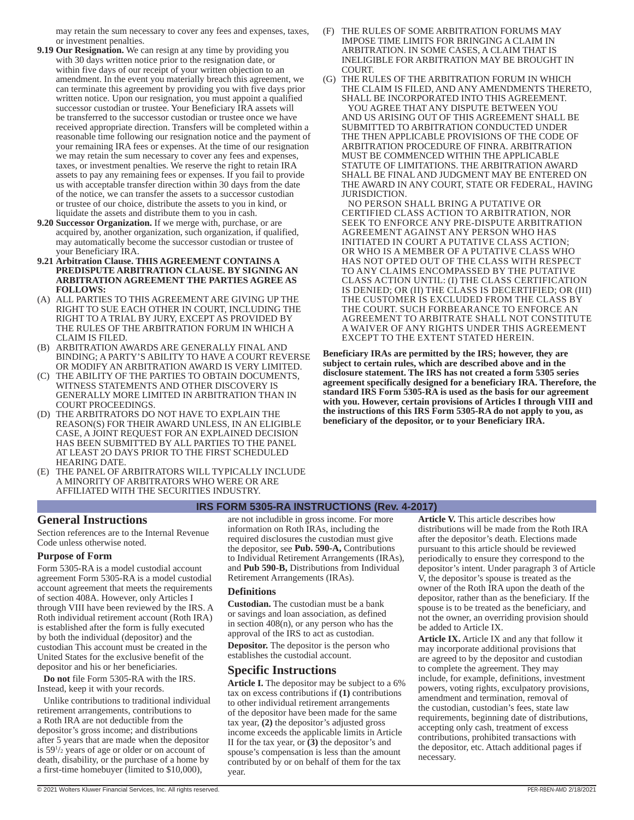may retain the sum necessary to cover any fees and expenses, taxes, or investment penalties.

- **9.19 Our Resignation.** We can resign at any time by providing you with 30 days written notice prior to the resignation date, or within five days of our receipt of your written objection to an amendment. In the event you materially breach this agreement, we can terminate this agreement by providing you with five days prior written notice. Upon our resignation, you must appoint a qualified successor custodian or trustee. Your Beneficiary IRA assets will be transferred to the successor custodian or trustee once we have received appropriate direction. Transfers will be completed within a reasonable time following our resignation notice and the payment of your remaining IRA fees or expenses. At the time of our resignation we may retain the sum necessary to cover any fees and expenses, taxes, or investment penalties. We reserve the right to retain IRA assets to pay any remaining fees or expenses. If you fail to provide us with acceptable transfer direction within 30 days from the date of the notice, we can transfer the assets to a successor custodian or trustee of our choice, distribute the assets to you in kind, or liquidate the assets and distribute them to you in cash.
- **9.20 Successor Organization.** If we merge with, purchase, or are acquired by, another organization, such organization, if qualified, may automatically become the successor custodian or trustee of your Beneficiary IRA.
- **9.21 Arbitration Clause. THIS AGREEMENT CONTAINS A PREDISPUTE ARBITRATION CLAUSE. BY SIGNING AN ARBITRATION AGREEMENT THE PARTIES AGREE AS FOLLOWS:**
- (A) ALL PARTIES TO THIS AGREEMENT ARE GIVING UP THE RIGHT TO SUE EACH OTHER IN COURT, INCLUDING THE RIGHT TO A TRIAL BY JURY, EXCEPT AS PROVIDED BY THE RULES OF THE ARBITRATION FORUM IN WHICH A CLAIM IS FILED.
- (B) ARBITRATION AWARDS ARE GENERALLY FINAL AND BINDING; A PARTY'S ABILITY TO HAVE A COURT REVERSE OR MODIFY AN ARBITRATION AWARD IS VERY LIMITED.
- (C) THE ABILITY OF THE PARTIES TO OBTAIN DOCUMENTS, WITNESS STATEMENTS AND OTHER DISCOVERY IS GENERALLY MORE LIMITED IN ARBITRATION THAN IN COURT PROCEEDINGS.
- (D) THE ARBITRATORS DO NOT HAVE TO EXPLAIN THE REASON(S) FOR THEIR AWARD UNLESS, IN AN ELIGIBLE CASE, A JOINT REQUEST FOR AN EXPLAINED DECISION HAS BEEN SUBMITTED BY ALL PARTIES TO THE PANEL AT LEAST 2O DAYS PRIOR TO THE FIRST SCHEDULED HEARING DATE.
- (E) THE PANEL OF ARBITRATORS WILL TYPICALLY INCLUDE A MINORITY OF ARBITRATORS WHO WERE OR ARE AFFILIATED WITH THE SECURITIES INDUSTRY.
- (F) THE RULES OF SOME ARBITRATION FORUMS MAY IMPOSE TIME LIMITS FOR BRINGING A CLAIM IN ARBITRATION. IN SOME CASES, A CLAIM THAT IS INELIGIBLE FOR ARBITRATION MAY BE BROUGHT IN COURT.
- (G) THE RULES OF THE ARBITRATION FORUM IN WHICH THE CLAIM IS FILED, AND ANY AMENDMENTS THERETO, SHALL BE INCORPORATED INTO THIS AGREEMENT. YOU AGREE THAT ANY DISPUTE BETWEEN YOU AND US ARISING OUT OF THIS AGREEMENT SHALL BE SUBMITTED TO ARBITRATION CONDUCTED UNDER THE THEN APPLICABLE PROVISIONS OF THE CODE OF ARBITRATION PROCEDURE OF FINRA. ARBITRATION MUST BE COMMENCED WITHIN THE APPLICABLE STATUTE OF LIMITATIONS. THE ARBITRATION AWARD SHALL BE FINAL AND JUDGMENT MAY BE ENTERED ON THE AWARD IN ANY COURT, STATE OR FEDERAL, HAVING JURISDICTION.

NO PERSON SHALL BRING A PUTATIVE OR CERTIFIED CLASS ACTION TO ARBITRATION, NOR SEEK TO ENFORCE ANY PRE-DISPUTE ARBITRATION AGREEMENT AGAINST ANY PERSON WHO HAS INITIATED IN COURT A PUTATIVE CLASS ACTION; OR WHO IS A MEMBER OF A PUTATIVE CLASS WHO HAS NOT OPTED OUT OF THE CLASS WITH RESPECT TO ANY CLAIMS ENCOMPASSED BY THE PUTATIVE CLASS ACTION UNTIL: (I) THE CLASS CERTIFICATION IS DENIED; OR (II) THE CLASS IS DECERTIFIED; OR (III) THE CUSTOMER IS EXCLUDED FROM THE CLASS BY THE COURT. SUCH FORBEARANCE TO ENFORCE AN AGREEMENT TO ARBITRATE SHALL NOT CONSTITUTE A WAIVER OF ANY RIGHTS UNDER THIS AGREEMENT EXCEPT TO THE EXTENT STATED HEREIN.

**Beneficiary IRAs are permitted by the IRS; however, they are subject to certain rules, which are described above and in the disclosure statement. The IRS has not created a form 5305 series agreement specifically designed for a beneficiary IRA. Therefore, the standard IRS Form 5305-RA is used as the basis for our agreement with you. However, certain provisions of Articles I through VIII and the instructions of this IRS Form 5305-RA do not apply to you, as beneficiary of the depositor, or to your Beneficiary IRA.** 

#### **IRS FORM 5305-RA INSTRUCTIONS (Rev. 4-2017)**

# **General Instructions**

Section references are to the Internal Revenue Code unless otherwise noted.

#### **Purpose of Form**

Form 5305-RA is a model custodial account agreement Form 5305-RA is a model custodial account agreement that meets the requirements of section 408A. However, only Articles I through VIII have been reviewed by the IRS. A Roth individual retirement account (Roth IRA) is established after the form is fully executed by both the individual (depositor) and the custodian This account must be created in the United States for the exclusive benefit of the depositor and his or her beneficiaries.

**Do not** file Form 5305-RA with the IRS. Instead, keep it with your records.

Unlike contributions to traditional individual retirement arrangements, contributions to a Roth IRA are not deductible from the depositor's gross income; and distributions after 5 years that are made when the depositor is 591 /2 years of age or older or on account of death, disability, or the purchase of a home by a first-time homebuyer (limited to \$10,000),

are not includible in gross income. For more information on Roth IRAs, including the required disclosures the custodian must give the depositor, see **Pub. 590-A,** Contributions to Individual Retirement Arrangements (IRAs), and **Pub 590-B,** Distributions from Individual Retirement Arrangements (IRAs).

#### **Definitions**

**Custodian.** The custodian must be a bank or savings and loan association, as defined in section 408(n), or any person who has the approval of the IRS to act as custodian. **Depositor.** The depositor is the person who

establishes the custodial account.

# **Specific Instructions**

**Article I.** The depositor may be subject to a 6% tax on excess contributions if **(1)** contributions to other individual retirement arrangements of the depositor have been made for the same tax year, **(2)** the depositor's adjusted gross income exceeds the applicable limits in Article II for the tax year, or **(3)** the depositor's and spouse's compensation is less than the amount contributed by or on behalf of them for the tax year.

**Article V.** This article describes how distributions will be made from the Roth IRA after the depositor's death. Elections made pursuant to this article should be reviewed periodically to ensure they correspond to the depositor's intent. Under paragraph 3 of Article V, the depositor's spouse is treated as the owner of the Roth IRA upon the death of the depositor, rather than as the beneficiary. If the spouse is to be treated as the beneficiary, and not the owner, an overriding provision should be added to Article IX.

**Article IX.** Article IX and any that follow it may incorporate additional provisions that are agreed to by the depositor and custodian to complete the agreement. They may include, for example, definitions, investment powers, voting rights, exculpatory provisions, amendment and termination, removal of the custodian, custodian's fees, state law requirements, beginning date of distributions, accepting only cash, treatment of excess contributions, prohibited transactions with the depositor, etc. Attach additional pages if necessary.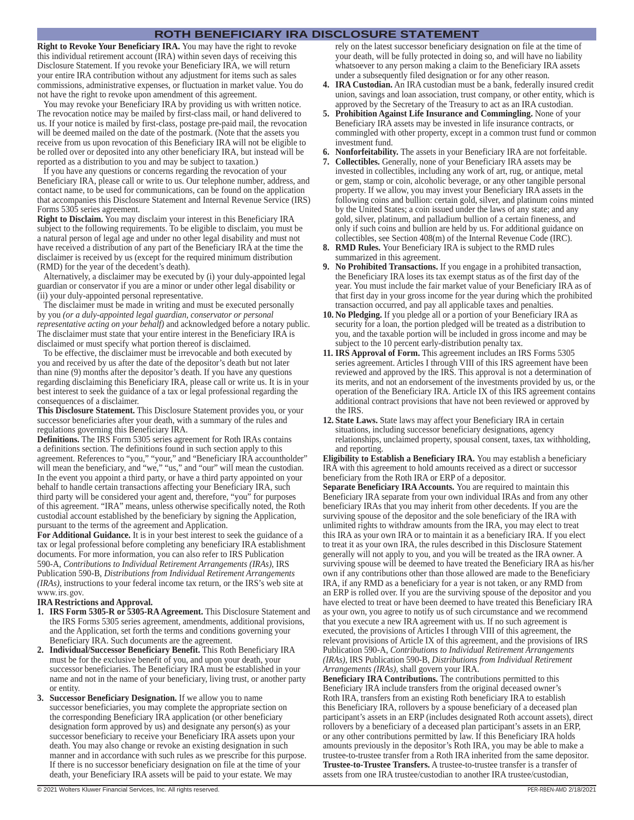#### **ROTH BENEFICIARY IRA DISCLOSURE STATEMENT**

**Right to Revoke Your Beneficiary IRA.** You may have the right to revoke this individual retirement account (IRA) within seven days of receiving this Disclosure Statement. If you revoke your Beneficiary IRA, we will return your entire IRA contribution without any adjustment for items such as sales commissions, administrative expenses, or fluctuation in market value. You do not have the right to revoke upon amendment of this agreement.

You may revoke your Beneficiary IRA by providing us with written notice. The revocation notice may be mailed by first-class mail, or hand delivered to us. If your notice is mailed by first-class, postage pre-paid mail, the revocation will be deemed mailed on the date of the postmark. (Note that the assets you receive from us upon revocation of this Beneficiary IRA will not be eligible to be rolled over or deposited into any other beneficiary IRA, but instead will be reported as a distribution to you and may be subject to taxation.)

If you have any questions or concerns regarding the revocation of your Beneficiary IRA, please call or write to us. Our telephone number, address, and contact name, to be used for communications, can be found on the application that accompanies this Disclosure Statement and Internal Revenue Service (IRS) Forms 5305 series agreement.

**Right to Disclaim.** You may disclaim your interest in this Beneficiary IRA subject to the following requirements. To be eligible to disclaim, you must be a natural person of legal age and under no other legal disability and must not have received a distribution of any part of the Beneficiary IRA at the time the disclaimer is received by us (except for the required minimum distribution (RMD) for the year of the decedent's death).

Alternatively, a disclaimer may be executed by (i) your duly-appointed legal guardian or conservator if you are a minor or under other legal disability or (ii) your duly-appointed personal representative.

The disclaimer must be made in writing and must be executed personally by you *(or a duly-appointed legal guardian, conservator or personal representative acting on your behalf)* and acknowledged before a notary public. The disclaimer must state that your entire interest in the Beneficiary IRA is disclaimed or must specify what portion thereof is disclaimed.

To be effective, the disclaimer must be irrevocable and both executed by you and received by us after the date of the depositor's death but not later than nine (9) months after the depositor's death. If you have any questions regarding disclaiming this Beneficiary IRA, please call or write us. It is in your best interest to seek the guidance of a tax or legal professional regarding the consequences of a disclaimer.

**This Disclosure Statement.** This Disclosure Statement provides you, or your successor beneficiaries after your death, with a summary of the rules and regulations governing this Beneficiary IRA.

**Definitions.** The IRS Form 5305 series agreement for Roth IRAs contains a definitions section. The definitions found in such section apply to this agreement. References to "you," "your," and "Beneficiary IRA accountholder" will mean the beneficiary, and "we," "us," and "our" will mean the custodian. In the event you appoint a third party, or have a third party appointed on your behalf to handle certain transactions affecting your Beneficiary IRA, such third party will be considered your agent and, therefore, "you" for purposes of this agreement. "IRA" means, unless otherwise specifically noted, the Roth custodial account established by the beneficiary by signing the Application, pursuant to the terms of the agreement and Application.

**For Additional Guidance.** It is in your best interest to seek the guidance of a tax or legal professional before completing any beneficiary IRA establishment documents. For more information, you can also refer to IRS Publication 590-A, *Contributions to Individual Retirement Arrangements (IRAs)*, IRS Publication 590-B, *Distributions from Individual Retirement Arrangements (IRAs)*, instructions to your federal income tax return, or the IRS's web site at www. irs. gov.

#### **IRA Restrictions and Approval.**

- **1. IRS Form 5305-R or 5305-RA Agreement.** This Disclosure Statement and the IRS Forms 5305 series agreement, amendments, additional provisions, and the Application, set forth the terms and conditions governing your Beneficiary IRA. Such documents are the agreement.
- **2. Individual/Successor Beneficiary Benefit.** This Roth Beneficiary IRA must be for the exclusive benefit of you, and upon your death, your successor beneficiaries. The Beneficiary IRA must be established in your name and not in the name of your beneficiary, living trust, or another party or entity.
- **3. Successor Beneficiary Designation.** If we allow you to name successor beneficiaries, you may complete the appropriate section on the corresponding Beneficiary IRA application (or other beneficiary designation form approved by us) and designate any person(s) as your successor beneficiary to receive your Beneficiary IRA assets upon your death. You may also change or revoke an existing designation in such manner and in accordance with such rules as we prescribe for this purpose. If there is no successor beneficiary designation on file at the time of your death, your Beneficiary IRA assets will be paid to your estate. We may

rely on the latest successor beneficiary designation on file at the time of your death, will be fully protected in doing so, and will have no liability whatsoever to any person making a claim to the Beneficiary IRA assets under a subsequently filed designation or for any other reason.

- **4. IRA Custodian.** An IRA custodian must be a bank, federally insured credit union, savings and loan association, trust company, or other entity, which is approved by the Secretary of the Treasury to act as an IRA custodian.
- **5. Prohibition Against Life Insurance and Commingling.** None of your Beneficiary IRA assets may be invested in life insurance contracts, or commingled with other property, except in a common trust fund or common investment fund.
- **6. Nonforfeitability.** The assets in your Beneficiary IRA are not forfeitable.
- **7. Collectibles.** Generally, none of your Beneficiary IRA assets may be invested in collectibles, including any work of art, rug, or antique, metal or gem, stamp or coin, alcoholic beverage, or any other tangible personal property. If we allow, you may invest your Beneficiary IRA assets in the following coins and bullion: certain gold, silver, and platinum coins minted by the United States; a coin issued under the laws of any state; and any gold, silver, platinum, and palladium bullion of a certain fineness, and only if such coins and bullion are held by us. For additional guidance on collectibles, see Section 408(m) of the Internal Revenue Code (IRC).
- **8. RMD Rules.** Your Beneficiary IRA is subject to the RMD rules summarized in this agreement.
- **9. No Prohibited Transactions.** If you engage in a prohibited transaction, the Beneficiary IRA loses its tax exempt status as of the first day of the year. You must include the fair market value of your Beneficiary IRA as of that first day in your gross income for the year during which the prohibited transaction occurred, and pay all applicable taxes and penalties.
- **10. No Pledging.** If you pledge all or a portion of your Beneficiary IRA as security for a loan, the portion pledged will be treated as a distribution to you, and the taxable portion will be included in gross income and may be subject to the 10 percent early-distribution penalty tax.
- **11. IRS Approval of Form.** This agreement includes an IRS Forms 5305 series agreement. Articles I through VIII of this IRS agreement have been reviewed and approved by the IRS. This approval is not a determination of its merits, and not an endorsement of the investments provided by us, or the operation of the Beneficiary IRA. Article IX of this IRS agreement contains additional contract provisions that have not been reviewed or approved by the IRS.
- **12. State Laws.** State laws may affect your Beneficiary IRA in certain situations, including successor beneficiary designations, agency relationships, unclaimed property, spousal consent, taxes, tax withholding, and reporting.

**Eligibility to Establish a Beneficiary IRA.** You may establish a beneficiary IRA with this agreement to hold amounts received as a direct or successor beneficiary from the Roth IRA or ERP of a depositor.

**Separate Beneficiary IRA Accounts.** You are required to maintain this Beneficiary IRA separate from your own individual IRAs and from any other beneficiary IRAs that you may inherit from other decedents. If you are the surviving spouse of the depositor and the sole beneficiary of the IRA with unlimited rights to withdraw amounts from the IRA, you may elect to treat this IRA as your own IRA or to maintain it as a beneficiary IRA. If you elect to treat it as your own IRA, the rules described in this Disclosure Statement generally will not apply to you, and you will be treated as the IRA owner. A surviving spouse will be deemed to have treated the Beneficiary IRA as his/her own if any contributions other than those allowed are made to the Beneficiary IRA, if any RMD as a beneficiary for a year is not taken, or any RMD from an ERP is rolled over. If you are the surviving spouse of the depositor and you have elected to treat or have been deemed to have treated this Beneficiary IRA as your own, you agree to notify us of such circumstance and we recommend that you execute a new IRA agreement with us. If no such agreement is executed, the provisions of Articles I through VIII of this agreement, the relevant provisions of Article IX of this agreement, and the provisions of IRS Publication 590-A, *Contributions to Individual Retirement Arrangements (IRAs)*, IRS Publication 590-B, *Distributions from Individual Retirement Arrangements (IRAs)*, shall govern your IRA.

**Beneficiary IRA Contributions.** The contributions permitted to this Beneficiary IRA include transfers from the original deceased owner's Roth IRA, transfers from an existing Roth beneficiary IRA to establish this Beneficiary IRA, rollovers by a spouse beneficiary of a deceased plan participant's assets in an ERP (includes designated Roth account assets), direct rollovers by a beneficiary of a deceased plan participant's assets in an ERP, or any other contributions permitted by law. If this Beneficiary IRA holds amounts previously in the depositor's Roth IRA, you may be able to make a trustee-to-trustee transfer from a Roth IRA inherited from the same depositor. **Trustee-to-Trustee Transfers.** A trustee-to-trustee transfer is a transfer of assets from one IRA trustee/custodian to another IRA trustee/custodian,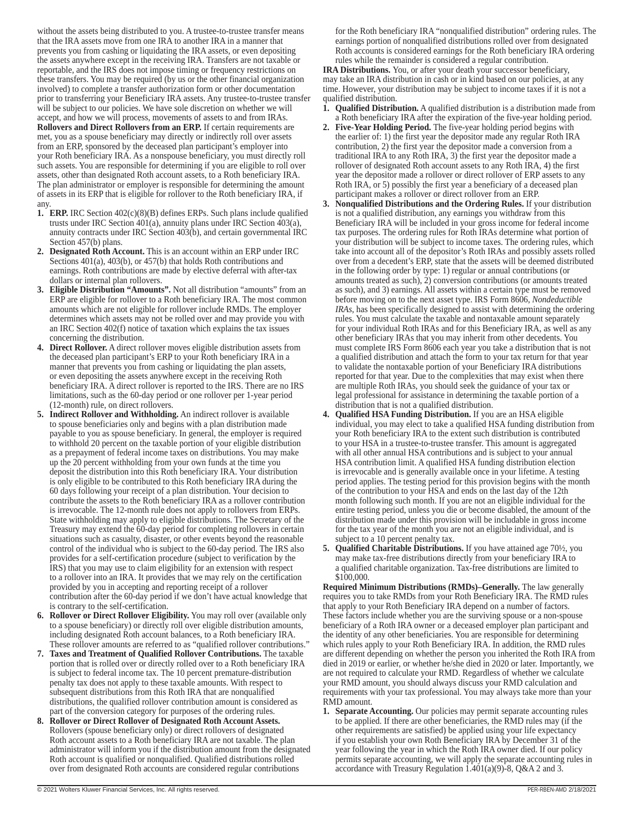without the assets being distributed to you. A trustee-to-trustee transfer means that the IRA assets move from one IRA to another IRA in a manner that prevents you from cashing or liquidating the IRA assets, or even depositing the assets anywhere except in the receiving IRA. Transfers are not taxable or reportable, and the IRS does not impose timing or frequency restrictions on these transfers. You may be required (by us or the other financial organization involved) to complete a transfer authorization form or other documentation prior to transferring your Beneficiary IRA assets. Any trustee-to-trustee transfer will be subject to our policies. We have sole discretion on whether we will accept, and how we will process, movements of assets to and from IRAs. **Rollovers and Direct Rollovers from an ERP.** If certain requirements are met, you as a spouse beneficiary may directly or indirectly roll over assets from an ERP, sponsored by the deceased plan participant's employer into your Roth beneficiary IRA. As a nonspouse beneficiary, you must directly roll such assets. You are responsible for determining if you are eligible to roll over assets, other than designated Roth account assets, to a Roth beneficiary IRA. The plan administrator or employer is responsible for determining the amount of assets in its ERP that is eligible for rollover to the Roth beneficiary IRA, if any.

- **1. ERP.** IRC Section 402(c)(8)(B) defines ERPs. Such plans include qualified trusts under IRC Section 401(a), annuity plans under IRC Section 403(a), annuity contracts under IRC Section  $403(b)$ , and certain governmental IRC Section 457(b) plans.
- **2. Designated Roth Account.** This is an account within an ERP under IRC Sections 401(a), 403(b), or 457(b) that holds Roth contributions and earnings. Roth contributions are made by elective deferral with after-tax dollars or internal plan rollovers.
- **3. Eligible Distribution "Amounts".** Not all distribution "amounts" from an ERP are eligible for rollover to a Roth beneficiary IRA. The most common amounts which are not eligible for rollover include RMDs. The employer determines which assets may not be rolled over and may provide you with an IRC Section 402(f) notice of taxation which explains the tax issues concerning the distribution.
- **4. Direct Rollover.** A direct rollover moves eligible distribution assets from the deceased plan participant's ERP to your Roth beneficiary IRA in a manner that prevents you from cashing or liquidating the plan assets, or even depositing the assets anywhere except in the receiving Roth beneficiary IRA. A direct rollover is reported to the IRS. There are no IRS limitations, such as the 60-day period or one rollover per 1-year period (12-month) rule, on direct rollovers.
- **5. Indirect Rollover and Withholding.** An indirect rollover is available to spouse beneficiaries only and begins with a plan distribution made payable to you as spouse beneficiary. In general, the employer is required to withhold 20 percent on the taxable portion of your eligible distribution as a prepayment of federal income taxes on distributions. You may make up the 20 percent withholding from your own funds at the time you deposit the distribution into this Roth beneficiary IRA. Your distribution is only eligible to be contributed to this Roth beneficiary IRA during the 60 days following your receipt of a plan distribution. Your decision to contribute the assets to the Roth beneficiary IRA as a rollover contribution is irrevocable. The 12-month rule does not apply to rollovers from ERPs. State withholding may apply to eligible distributions. The Secretary of the Treasury may extend the 60-day period for completing rollovers in certain situations such as casualty, disaster, or other events beyond the reasonable control of the individual who is subject to the 60-day period. The IRS also provides for a self-certification procedure (subject to verification by the IRS) that you may use to claim eligibility for an extension with respect to a rollover into an IRA. It provides that we may rely on the certification provided by you in accepting and reporting receipt of a rollover contribution after the 60-day period if we don't have actual knowledge that is contrary to the self-certification.
- **6. Rollover or Direct Rollover Eligibility.** You may roll over (available only to a spouse beneficiary) or directly roll over eligible distribution amounts, including designated Roth account balances, to a Roth beneficiary IRA. These rollover amounts are referred to as "qualified rollover contributions."
- **7. Taxes and Treatment of Qualified Rollover Contributions.** The taxable portion that is rolled over or directly rolled over to a Roth beneficiary IRA is subject to federal income tax. The 10 percent premature-distribution penalty tax does not apply to these taxable amounts. With respect to subsequent distributions from this Roth IRA that are nonqualified distributions, the qualified rollover contribution amount is considered as part of the conversion category for purposes of the ordering rules.
- **8. Rollover or Direct Rollover of Designated Roth Account Assets.** Rollovers (spouse beneficiary only) or direct rollovers of designated Roth account assets to a Roth beneficiary IRA are not taxable. The plan administrator will inform you if the distribution amount from the designated Roth account is qualified or nonqualified. Qualified distributions rolled over from designated Roth accounts are considered regular contributions

for the Roth beneficiary IRA "nonqualified distribution" ordering rules. The earnings portion of nonqualified distributions rolled over from designated Roth accounts is considered earnings for the Roth beneficiary IRA ordering rules while the remainder is considered a regular contribution.

**IRA Distributions.** You, or after your death your successor beneficiary, may take an IRA distribution in cash or in kind based on our policies, at any time. However, your distribution may be subject to income taxes if it is not a qualified distribution.

- **1. Qualified Distribution.** A qualified distribution is a distribution made from a Roth beneficiary IRA after the expiration of the five-year holding period.
- **2. Five-Year Holding Period.** The five-year holding period begins with the earlier of: 1) the first year the depositor made any regular Roth IRA contribution, 2) the first year the depositor made a conversion from a traditional IRA to any Roth IRA, 3) the first year the depositor made a rollover of designated Roth account assets to any Roth IRA, 4) the first year the depositor made a rollover or direct rollover of ERP assets to any Roth IRA, or 5) possibly the first year a beneficiary of a deceased plan participant makes a rollover or direct rollover from an ERP.
- **3. Nonqualified Distributions and the Ordering Rules.** If your distribution is not a qualified distribution, any earnings you withdraw from this Beneficiary IRA will be included in your gross income for federal income tax purposes. The ordering rules for Roth IRAs determine what portion of your distribution will be subject to income taxes. The ordering rules, which take into account all of the depositor's Roth IRAs and possibly assets rolled over from a decedent's ERP, state that the assets will be deemed distributed in the following order by type: 1) regular or annual contributions (or amounts treated as such), 2) conversion contributions (or amounts treated as such), and 3) earnings. All assets within a certain type must be removed before moving on to the next asset type. IRS Form 8606, *Nondeductible IRAs*, has been specifically designed to assist with determining the ordering rules. You must calculate the taxable and nontaxable amount separately for your individual Roth IRAs and for this Beneficiary IRA, as well as any other beneficiary IRAs that you may inherit from other decedents. You must complete IRS Form 8606 each year you take a distribution that is not a qualified distribution and attach the form to your tax return for that year to validate the nontaxable portion of your Beneficiary IRA distributions reported for that year. Due to the complexities that may exist when there are multiple Roth IRAs, you should seek the guidance of your tax or legal professional for assistance in determining the taxable portion of a distribution that is not a qualified distribution.
- **4. Qualified HSA Funding Distribution.** If you are an HSA eligible individual, you may elect to take a qualified HSA funding distribution from your Roth beneficiary IRA to the extent such distribution is contributed to your HSA in a trustee-to-trustee transfer. This amount is aggregated with all other annual HSA contributions and is subject to your annual HSA contribution limit. A qualified HSA funding distribution election is irrevocable and is generally available once in your lifetime. A testing period applies. The testing period for this provision begins with the month of the contribution to your HSA and ends on the last day of the 12th month following such month. If you are not an eligible individual for the entire testing period, unless you die or become disabled, the amount of the distribution made under this provision will be includable in gross income for the tax year of the month you are not an eligible individual, and is subject to a 10 percent penalty tax.
- **5. Qualified Charitable Distributions.** If you have attained age 70½, you may make tax-free distributions directly from your beneficiary IRA to a qualified charitable organization. Tax-free distributions are limited to \$100,000.

**Required Minimum Distributions (RMDs)–Generally.** The law generally requires you to take RMDs from your Roth Beneficiary IRA. The RMD rules that apply to your Roth Beneficiary IRA depend on a number of factors. These factors include whether you are the surviving spouse or a non-spouse beneficiary of a Roth IRA owner or a deceased employer plan participant and the identity of any other beneficiaries. You are responsible for determining which rules apply to your Roth Beneficiary IRA. In addition, the RMD rules are different depending on whether the person you inherited the Roth IRA from died in 2019 or earlier, or whether he/she died in 2020 or later. Importantly, we are not required to calculate your RMD. Regardless of whether we calculate your RMD amount, you should always discuss your RMD calculation and requirements with your tax professional. You may always take more than your RMD amount.

**1. Separate Accounting.** Our policies may permit separate accounting rules to be applied. If there are other beneficiaries, the RMD rules may (if the other requirements are satisfied) be applied using your life expectancy if you establish your own Roth Beneficiary IRA by December 31 of the year following the year in which the Roth IRA owner died. If our policy permits separate accounting, we will apply the separate accounting rules in accordance with Treasury Regulation 1.401(a)(9)-8, Q&A 2 and 3.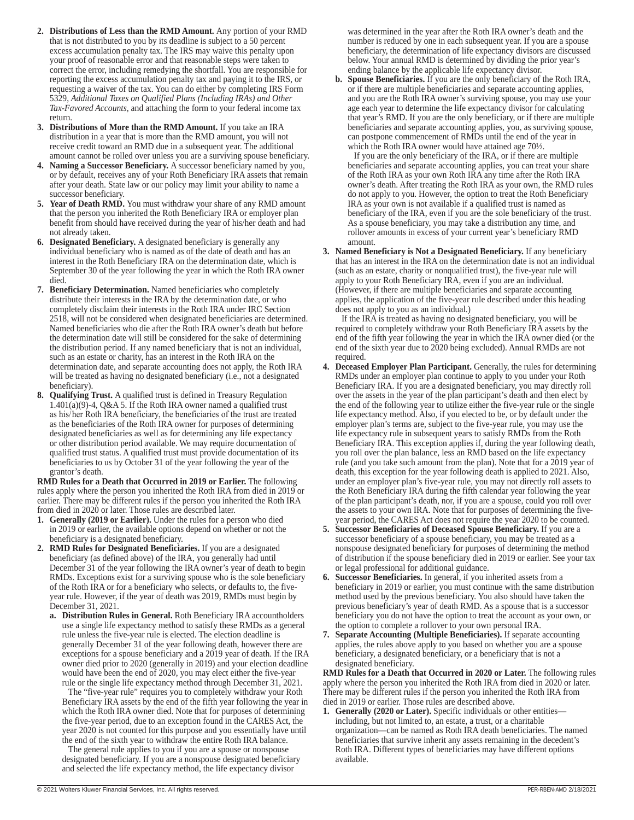- **2. Distributions of Less than the RMD Amount.** Any portion of your RMD that is not distributed to you by its deadline is subject to a 50 percent excess accumulation penalty tax. The IRS may waive this penalty upon your proof of reasonable error and that reasonable steps were taken to correct the error, including remedying the shortfall. You are responsible for reporting the excess accumulation penalty tax and paying it to the IRS, or requesting a waiver of the tax. You can do either by completing IRS Form 5329, *Additional Taxes on Qualified Plans (Including IRAs) and Other Tax-Favored Accounts,* and attaching the form to your federal income tax return.
- **3. Distributions of More than the RMD Amount.** If you take an IRA distribution in a year that is more than the RMD amount, you will not receive credit toward an RMD due in a subsequent year. The additional amount cannot be rolled over unless you are a surviving spouse beneficiary.
- **4. Naming a Successor Beneficiary.** A successor beneficiary named by you, or by default, receives any of your Roth Beneficiary IRA assets that remain after your death. State law or our policy may limit your ability to name a successor beneficiary.
- **5. Year of Death RMD.** You must withdraw your share of any RMD amount that the person you inherited the Roth Beneficiary IRA or employer plan benefit from should have received during the year of his/her death and had not already taken.
- **6. Designated Beneficiary.** A designated beneficiary is generally any individual beneficiary who is named as of the date of death and has an interest in the Roth Beneficiary IRA on the determination date, which is September 30 of the year following the year in which the Roth IRA owner died.
- **7. Beneficiary Determination.** Named beneficiaries who completely distribute their interests in the IRA by the determination date, or who completely disclaim their interests in the Roth IRA under IRC Section 2518, will not be considered when designated beneficiaries are determined. Named beneficiaries who die after the Roth IRA owner's death but before the determination date will still be considered for the sake of determining the distribution period. If any named beneficiary that is not an individual, such as an estate or charity, has an interest in the Roth IRA on the determination date, and separate accounting does not apply, the Roth IRA will be treated as having no designated beneficiary (i.e., not a designated beneficiary).
- **8. Qualifying Trust.** A qualified trust is defined in Treasury Regulation  $1.401(a)(9)$ -4, Q&A 5. If the Roth IRA owner named a qualified trust as his/ her Roth IRA beneficiary, the beneficiaries of the trust are treated as the beneficiaries of the Roth IRA owner for purposes of determining designated beneficiaries as well as for determining any life expectancy or other distribution period available. We may require documentation of qualified trust status. A qualified trust must provide documentation of its beneficiaries to us by October 31 of the year following the year of the grantor's death.

**RMD Rules for a Death that Occurred in 2019 or Earlier.** The following rules apply where the person you inherited the Roth IRA from died in 2019 or earlier. There may be different rules if the person you inherited the Roth IRA from died in 2020 or later. Those rules are described later.

- **1. Generally (2019 or Earlier).** Under the rules for a person who died in 2019 or earlier, the available options depend on whether or not the beneficiary is a designated beneficiary.
- **2. RMD Rules for Designated Beneficiaries.** If you are a designated beneficiary (as defined above) of the IRA, you generally had until December 31 of the year following the IRA owner's year of death to begin RMDs. Exceptions exist for a surviving spouse who is the sole beneficiary of the Roth IRA or for a beneficiary who selects, or defaults to, the fiveyear rule. However, if the year of death was 2019, RMDs must begin by December 31, 2021.
	- **a. Distribution Rules in General.** Roth Beneficiary IRA accountholders use a single life expectancy method to satisfy these RMDs as a general rule unless the five-year rule is elected. The election deadline is generally December 31 of the year following death, however there are exceptions for a spouse beneficiary and a 2019 year of death. If the IRA owner died prior to 2020 (generally in 2019) and your election deadline would have been the end of 2020, you may elect either the five-year rule or the single life expectancy method through December 31, 2021.

The "five-year rule" requires you to completely withdraw your Roth Beneficiary IRA assets by the end of the fifth year following the year in which the Roth IRA owner died. Note that for purposes of determining the five-year period, due to an exception found in the CARES Act, the year 2020 is not counted for this purpose and you essentially have until the end of the sixth year to withdraw the entire Roth IRA balance.

The general rule applies to you if you are a spouse or nonspouse designated beneficiary. If you are a nonspouse designated beneficiary and selected the life expectancy method, the life expectancy divisor

was determined in the year after the Roth IRA owner's death and the number is reduced by one in each subsequent year. If you are a spouse beneficiary, the determination of life expectancy divisors are discussed below. Your annual RMD is determined by dividing the prior year's ending balance by the applicable life expectancy divisor.

**b. Spouse Beneficiaries.** If you are the only beneficiary of the Roth IRA, or if there are multiple beneficiaries and separate accounting applies, and you are the Roth IRA owner's surviving spouse, you may use your age each year to determine the life expectancy divisor for calculating that year's RMD. If you are the only beneficiary, or if there are multiple beneficiaries and separate accounting applies, you, as surviving spouse, can postpone commencement of RMDs until the end of the year in which the Roth IRA owner would have attained age 70½.

If you are the only beneficiary of the IRA, or if there are multiple beneficiaries and separate accounting applies, you can treat your share of the Roth IRA as your own Roth IRA any time after the Roth IRA owner's death. After treating the Roth IRA as your own, the RMD rules do not apply to you. However, the option to treat the Roth Beneficiary IRA as your own is not available if a qualified trust is named as beneficiary of the IRA, even if you are the sole beneficiary of the trust. As a spouse beneficiary, you may take a distribution any time, and rollover amounts in excess of your current year's beneficiary RMD amount.

**3. Named Beneficiary is Not a Designated Beneficiary.** If any beneficiary that has an interest in the IRA on the determination date is not an individual (such as an estate, charity or nonqualified trust), the five-year rule will apply to your Roth Beneficiary IRA, even if you are an individual. (However, if there are multiple beneficiaries and separate accounting applies, the application of the five-year rule described under this heading does not apply to you as an individual.)

If the IRA is treated as having no designated beneficiary, you will be required to completely withdraw your Roth Beneficiary IRA assets by the end of the fifth year following the year in which the IRA owner died (or the end of the sixth year due to 2020 being excluded). Annual RMDs are not required.

- **4. Deceased Employer Plan Participant.** Generally, the rules for determining RMDs under an employer plan continue to apply to you under your Roth Beneficiary IRA. If you are a designated beneficiary, you may directly roll over the assets in the year of the plan participant's death and then elect by the end of the following year to utilize either the five-year rule or the single life expectancy method. Also, if you elected to be, or by default under the employer plan's terms are, subject to the five-year rule, you may use the life expectancy rule in subsequent years to satisfy RMDs from the Roth Beneficiary IRA. This exception applies if, during the year following death, you roll over the plan balance, less an RMD based on the life expectancy rule (and you take such amount from the plan). Note that for a 2019 year of death, this exception for the year following death is applied to 2021. Also, under an employer plan's five-year rule, you may not directly roll assets to the Roth Beneficiary IRA during the fifth calendar year following the year of the plan participant's death, nor, if you are a spouse, could you roll over the assets to your own IRA. Note that for purposes of determining the fiveyear period, the CARES Act does not require the year 2020 to be counted.
- **5. Successor Beneficiaries of Deceased Spouse Beneficiary.** If you are a successor beneficiary of a spouse beneficiary, you may be treated as a nonspouse designated beneficiary for purposes of determining the method of distribution if the spouse beneficiary died in 2019 or earlier. See your tax or legal professional for additional guidance.
- **6. Successor Beneficiaries.** In general, if you inherited assets from a beneficiary in 2019 or earlier, you must continue with the same distribution method used by the previous beneficiary. You also should have taken the previous beneficiary's year of death RMD. As a spouse that is a successor beneficiary you do not have the option to treat the account as your own, or the option to complete a rollover to your own personal IRA.
- **7. Separate Accounting (Multiple Beneficiaries).** If separate accounting applies, the rules above apply to you based on whether you are a spouse beneficiary, a designated beneficiary, or a beneficiary that is not a designated beneficiary.

**RMD Rules for a Death that Occurred in 2020 or Later.** The following rules apply where the person you inherited the Roth IRA from died in 2020 or later. There may be different rules if the person you inherited the Roth IRA from died in 2019 or earlier. Those rules are described above.

**1. Generally (2020 or Later).** Specific individuals or other entities including, but not limited to, an estate, a trust, or a charitable organization—can be named as Roth IRA death beneficiaries. The named beneficiaries that survive inherit any assets remaining in the decedent's Roth IRA. Different types of beneficiaries may have different options available.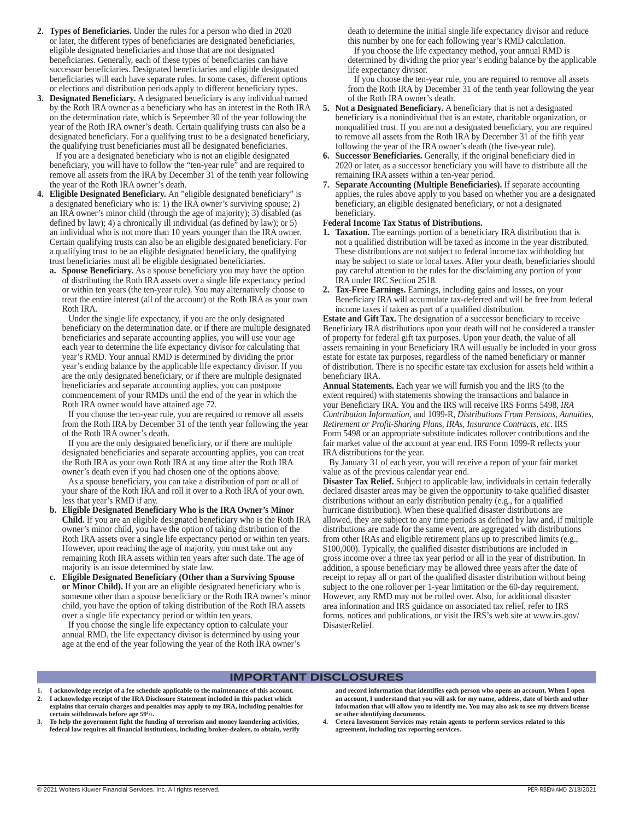- **2. Types of Beneficiaries.** Under the rules for a person who died in 2020 or later, the different types of beneficiaries are designated beneficiaries, eligible designated beneficiaries and those that are not designated beneficiaries. Generally, each of these types of beneficiaries can have successor beneficiaries. Designated beneficiaries and eligible designated beneficiaries will each have separate rules. In some cases, different options or elections and distribution periods apply to different beneficiary types.
- **3. Designated Beneficiary.** A designated beneficiary is any individual named by the Roth IRA owner as a beneficiary who has an interest in the Roth IRA on the determination date, which is September 30 of the year following the year of the Roth IRA owner's death. Certain qualifying trusts can also be a designated beneficiary. For a qualifying trust to be a designated beneficiary, the qualifying trust beneficiaries must all be designated beneficiaries.

If you are a designated beneficiary who is not an eligible designated beneficiary, you will have to follow the "ten-year rule" and are required to remove all assets from the IRA by December 31 of the tenth year following the year of the Roth IRA owner's death.

- **4. Eligible Designated Beneficiary.** An "eligible designated beneficiary" is a designated beneficiary who is: 1) the IRA owner's surviving spouse; 2) an IRA owner's minor child (through the age of majority); 3) disabled (as defined by law); 4) a chronically ill individual (as defined by law); or 5) an individual who is not more than 10 years younger than the IRA owner. Certain qualifying trusts can also be an eligible designated beneficiary. For a qualifying trust to be an eligible designated beneficiary, the qualifying trust beneficiaries must all be eligible designated beneficiaries.
	- **a. Spouse Beneficiary.** As a spouse beneficiary you may have the option of distributing the Roth IRA assets over a single life expectancy period or within ten years (the ten-year rule). You may alternatively choose to treat the entire interest (all of the account) of the Roth IRA as your own Roth IRA.

Under the single life expectancy, if you are the only designated beneficiary on the determination date, or if there are multiple designated beneficiaries and separate accounting applies, you will use your age each year to determine the life expectancy divisor for calculating that year's RMD. Your annual RMD is determined by dividing the prior year's ending balance by the applicable life expectancy divisor. If you are the only designated beneficiary, or if there are multiple designated beneficiaries and separate accounting applies, you can postpone commencement of your RMDs until the end of the year in which the Roth IRA owner would have attained age 72.

If you choose the ten-year rule, you are required to remove all assets from the Roth IRA by December 31 of the tenth year following the year of the Roth IRA owner's death.

If you are the only designated beneficiary, or if there are multiple designated beneficiaries and separate accounting applies, you can treat the Roth IRA as your own Roth IRA at any time after the Roth IRA owner's death even if you had chosen one of the options above.

As a spouse beneficiary, you can take a distribution of part or all of your share of the Roth IRA and roll it over to a Roth IRA of your own, less that year's RMD if any.

- **b. Eligible Designated Beneficiary Who is the IRA Owner's Minor Child.** If you are an eligible designated beneficiary who is the Roth IRA owner's minor child, you have the option of taking distribution of the Roth IRA assets over a single life expectancy period or within ten years. However, upon reaching the age of majority, you must take out any remaining Roth IRA assets within ten years after such date. The age of majority is an issue determined by state law.
- **c. Eligible Designated Beneficiary (Other than a Surviving Spouse or Minor Child).** If you are an eligible designated beneficiary who is someone other than a spouse beneficiary or the Roth IRA owner's minor child, you have the option of taking distribution of the Roth IRA assets over a single life expectancy period or within ten years.

If you choose the single life expectancy option to calculate your annual RMD, the life expectancy divisor is determined by using your age at the end of the year following the year of the Roth IRA owner's

death to determine the initial single life expectancy divisor and reduce this number by one for each following year's RMD calculation.

If you choose the life expectancy method, your annual RMD is determined by dividing the prior year's ending balance by the applicable life expectancy divisor.

If you choose the ten-year rule, you are required to remove all assets from the Roth IRA by December 31 of the tenth year following the year of the Roth IRA owner's death.

- **5. Not a Designated Beneficiary.** A beneficiary that is not a designated beneficiary is a nonindividual that is an estate, charitable organization, or nonqualified trust. If you are not a designated beneficiary, you are required to remove all assets from the Roth IRA by December 31 of the fifth year following the year of the IRA owner's death (the five-year rule).
- **6. Successor Beneficiaries.** Generally, if the original beneficiary died in 2020 or later, as a successor beneficiary you will have to distribute all the remaining IRA assets within a ten-year period.
- **7. Separate Accounting (Multiple Beneficiaries).** If separate accounting applies, the rules above apply to you based on whether you are a designated beneficiary, an eligible designated beneficiary, or not a designated beneficiary.

#### **Federal Income Tax Status of Distributions.**

- **1. Taxation.** The earnings portion of a beneficiary IRA distribution that is not a qualified distribution will be taxed as income in the year distributed. These distributions are not subject to federal income tax withholding but may be subject to state or local taxes. After your death, beneficiaries should pay careful attention to the rules for the disclaiming any portion of your IRA under IRC Section 2518.
- **2. Tax-Free Earnings.** Earnings, including gains and losses, on your Beneficiary IRA will accumulate tax-deferred and will be free from federal income taxes if taken as part of a qualified distribution.

**Estate and Gift Tax.** The designation of a successor beneficiary to receive Beneficiary IRA distributions upon your death will not be considered a transfer of property for federal gift tax purposes. Upon your death, the value of all assets remaining in your Beneficiary IRA will usually be included in your gross estate for estate tax purposes, regardless of the named beneficiary or manner of distribution. There is no specific estate tax exclusion for assets held within a beneficiary IRA.

**Annual Statements.** Each year we will furnish you and the IRS (to the extent required) with statements showing the transactions and balance in your Beneficiary IRA. You and the IRS will receive IRS Forms 5498, *IRA Contribution Information*, and 1099-R, *Distributions From Pensions, Annuities, Retirement or Profit-Sharing Plans, IRAs, Insurance Contracts, etc*. IRS Form 5498 or an appropriate substitute indicates rollover contributions and the fair market value of the account at year end. IRS Form 1099-R reflects your IRA distributions for the year.

By January 31 of each year, you will receive a report of your fair market value as of the previous calendar year end.

**Disaster Tax Relief.** Subject to applicable law, individuals in certain federally declared disaster areas may be given the opportunity to take qualified disaster distributions without an early distribution penalty (e.g., for a qualified hurricane distribution). When these qualified disaster distributions are allowed, they are subject to any time periods as defined by law and, if multiple distributions are made for the same event, are aggregated with distributions from other IRAs and eligible retirement plans up to prescribed limits (e.g., \$100,000). Typically, the qualified disaster distributions are included in gross income over a three tax year period or all in the year of distribution. In addition, a spouse beneficiary may be allowed three years after the date of receipt to repay all or part of the qualified disaster distribution without being subject to the one rollover per 1-year limitation or the 60-day requirement. However, any RMD may not be rolled over. Also, for additional disaster area information and IRS guidance on associated tax relief, refer to IRS forms, notices and publications, or visit the IRS's web site at www.irs.gov/ DisasterRelief.

#### **IMPORTANT DISCLOSURES**

- **1. I acknowledge receipt of a fee schedule applicable to the maintenance of this account. 2. I acknowledge receipt of the IRA Disclosure Statement included in this packet which explains that certain charges and penalties may apply to my IRA, including penalties for**
- **certain withdrawals before age 591 /2. 3. To help the government fight the funding of terrorism and money laundering activities, federal law requires all financial institutions, including broker-dealers, to obtain, verify**

**and record information that identifies each person who opens an account. When I open an account, I understand that you will ask for my name, address, date of birth and other information that will allow you to identify me. You may also ask to see my drivers license or other identifying documents.**

**4. Cetera Investment Services may retain agents to perform services related to this agreement, including tax reporting services.**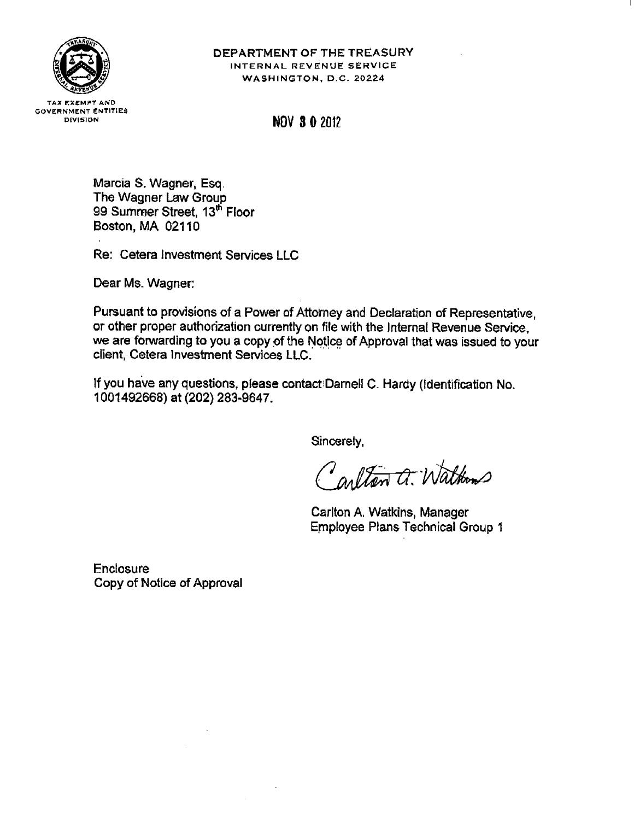

# DEPARTMENT OF THE TREASURY INTERNAL REVENUE SERVICE WASHINGTON, D.C. 20224

**TAX EXEMPT AND GOVERNMENT ENTITIES** DIVISION

**NOV 3 0 2012** 

Marcia S. Wagner, Esq. The Wagner Law Group 99 Summer Street, 13<sup>th</sup> Floor Boston, MA 02110

Re: Cetera Investment Services LLC

Dear Ms. Wagner:

Pursuant to provisions of a Power of Attorney and Declaration of Representative, or other proper authorization currently on file with the Internal Revenue Service. we are forwarding to you a copy of the Notice of Approval that was issued to your client, Cetera Investment Services LLC.

If you have any questions, please contact Darnell C. Hardy (Identification No. 1001492668) at (202) 283-9647.

Sincerely,

Carlton a. Waltons

Carlton A. Watkins, Manager **Employee Plans Technical Group 1** 

**Enclosure** Copy of Notice of Approval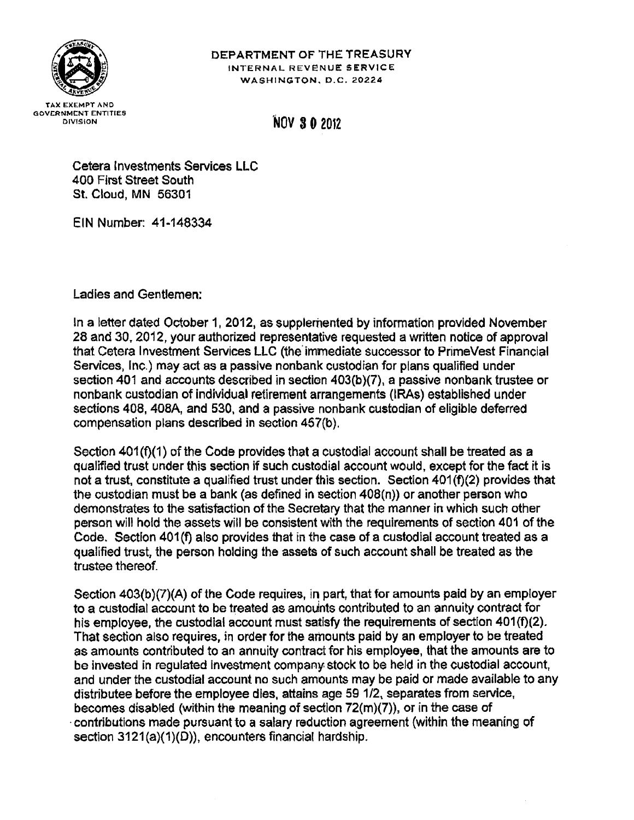

# DEPARTMENT OF THE TREASURY INTERNAL REVENUE SERVICE WASHINGTON, D.C. 20224

# **NOV 30 2012**

Cetera Investments Services LLC 400 First Street South St. Cloud, MN 56301

EIN Number: 41-148334

Ladies and Gentlemen:

In a letter dated October 1, 2012, as supplemented by information provided November 28 and 30, 2012, your authorized representative requested a written notice of approval that Cetera Investment Services LLC (the immediate successor to PrimeVest Financial Services, Inc.) may act as a passive nonbank custodian for plans qualified under section 401 and accounts described in section 403(b)(7), a passive nonbank trustee or nonbank custodian of individual retirement arrangements (IRAs) established under sections 408, 408A, and 530, and a passive nonbank custodian of eligible deferred compensation plans described in section 457(b).

Section 401(f)(1) of the Code provides that a custodial account shall be treated as a qualified trust under this section if such custodial account would, except for the fact it is not a trust, constitute a qualified trust under this section. Section 401(f)(2) provides that the custodian must be a bank (as defined in section 408(n)) or another person who demonstrates to the satisfaction of the Secretary that the manner in which such other person will hold the assets will be consistent with the requirements of section 401 of the Code. Section 401(f) also provides that in the case of a custodial account treated as a qualified trust, the person holding the assets of such account shall be treated as the trustee thereof.

Section 403(b)(7)(A) of the Code requires, in part, that for amounts paid by an employer to a custodial account to be treated as amounts contributed to an annuity contract for his employee, the custodial account must satisfy the requirements of section 401(f)(2). That section also requires, in order for the amounts paid by an employer to be treated as amounts contributed to an annuity contract for his employee, that the amounts are to be invested in regulated investment company stock to be held in the custodial account, and under the custodial account no such amounts may be paid or made available to any distributee before the employee dies, attains age 59 1/2, separates from service, becomes disabled (within the meaning of section  $72(m)(7)$ ), or in the case of contributions made pursuant to a salary reduction agreement (within the meaning of section 3121(a)(1)(D)), encounters financial hardship.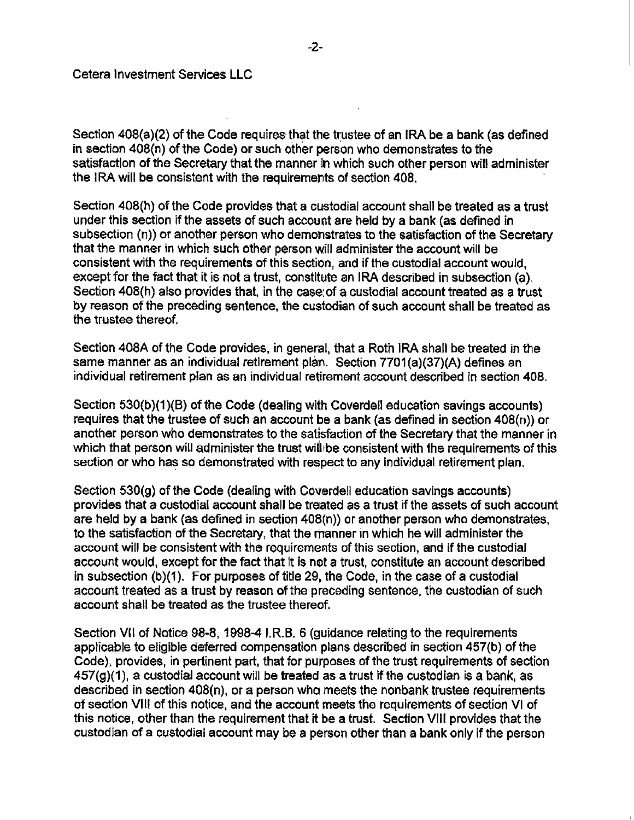Section 408(a)(2) of the Code requires that the trustee of an IRA be a bank (as defined in section 408(n) of the Code) or such other person who demonstrates to the satisfaction of the Secretary that the manner in which such other person will administer the IRA will be consistent with the requirements of section 408.

Section 408(h) of the Code provides that a custodial account shall be treated as a trust under this section if the assets of such account are held by a bank (as defined in subsection (n)) or another person who demonstrates to the satisfaction of the Secretary that the manner in which such other person will administer the account will be consistent with the requirements of this section, and if the custodial account would, except for the fact that it is not a trust, constitute an IRA described in subsection (a). Section 408(h) also provides that, in the case of a custodial account treated as a trust by reason of the preceding sentence, the custodian of such account shall be treated as the trustee thereof.

Section 408A of the Code provides, in general, that a Roth IRA shall be treated in the same manner as an individual retirement plan. Section 7701(a)(37)(A) defines an individual retirement plan as an individual retirement account described in section 408.

Section 530(b)(1)(B) of the Code (dealing with Coverdell education savings accounts) requires that the trustee of such an account be a bank (as defined in section  $408(n)$ ) or another person who demonstrates to the satisfaction of the Secretary that the manner in which that person will administer the trust will be consistent with the requirements of this section or who has so demonstrated with respect to any individual retirement plan.

Section 530(g) of the Code (dealing with Coverdell education savings accounts) provides that a custodial account shall be treated as a trust if the assets of such account are held by a bank (as defined in section 408(n)) or another person who demonstrates, to the satisfaction of the Secretary, that the manner in which he will administer the account will be consistent with the requirements of this section, and if the custodial account would, except for the fact that it is not a trust, constitute an account described in subsection (b)(1). For purposes of title 29, the Code, in the case of a custodial account treated as a trust by reason of the preceding sentence, the custodian of such account shall be treated as the trustee thereof.

Section VII of Notice 98-8, 1998-4 I.R.B. 6 (guidance relating to the requirements applicable to eligible deferred compensation plans described in section 457(b) of the Code), provides, in pertinent part, that for purposes of the trust requirements of section  $457(g)(1)$ , a custodial account will be treated as a trust if the custodian is a bank, as described in section 408(n), or a person who meets the nonbank trustee requirements of section VIII of this notice, and the account meets the requirements of section VI of this notice, other than the requirement that it be a trust. Section VIII provides that the custodian of a custodial account may be a person other than a bank only if the person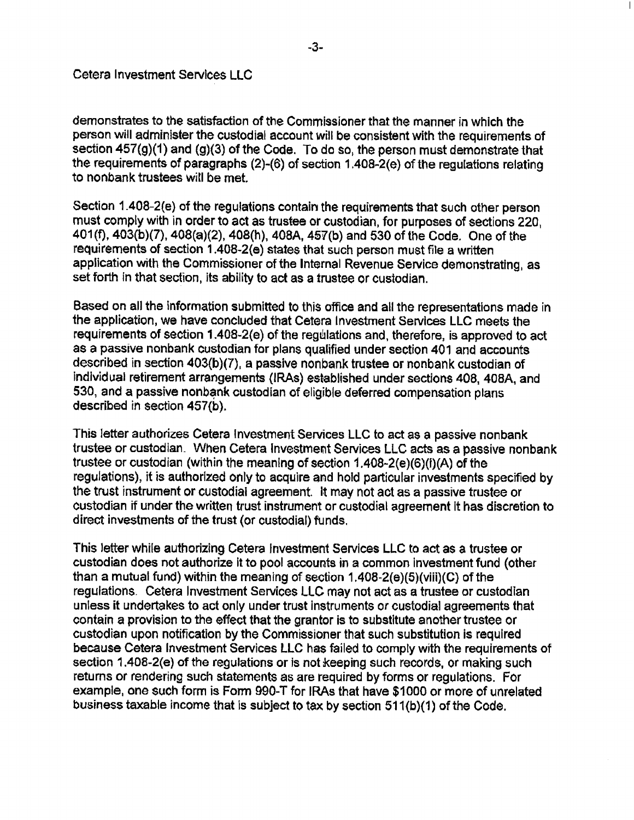demonstrates to the satisfaction of the Commissioner that the manner in which the person will administer the custodial account will be consistent with the requirements of section 457(g)(1) and (g)(3) of the Code. To do so, the person must demonstrate that the requirements of paragraphs (2)-(6) of section 1.408-2(e) of the regulations relating to nonbank trustees will be met.

Section 1.408-2(e) of the regulations contain the requirements that such other person must comply with in order to act as trustee or custodian, for purposes of sections 220. 401(f), 403(b)(7), 408(a)(2), 408(h), 408A, 457(b) and 530 of the Code. One of the requirements of section 1.408-2(e) states that such person must file a written application with the Commissioner of the Internal Revenue Service demonstrating, as set forth in that section, its ability to act as a trustee or custodian.

Based on all the information submitted to this office and all the representations made in the application, we have concluded that Cetera Investment Services LLC meets the requirements of section 1.408-2(e) of the regulations and, therefore, is approved to act as a passive nonbank custodian for plans qualified under section 401 and accounts described in section 403(b)(7), a passive nonbank trustee or nonbank custodian of individual retirement arrangements (IRAs) established under sections 408, 408A, and 530, and a passive nonbank custodian of eligible deferred compensation plans described in section 457(b).

This letter authorizes Cetera Investment Services LLC to act as a passive nonbank trustee or custodian. When Cetera Investment Services LLC acts as a passive nonbank trustee or custodian (within the meaning of section 1.408-2(e)(6)(i)(A) of the regulations), it is authorized only to acquire and hold particular investments specified by the trust instrument or custodial agreement. It may not act as a passive trustee or custodian if under the written trust instrument or custodial agreement it has discretion to direct investments of the trust (or custodial) funds.

This letter while authorizing Cetera Investment Services LLC to act as a trustee or custodian does not authorize it to pool accounts in a common investment fund (other than a mutual fund) within the meaning of section 1.408-2(e)(5)(viii)(C) of the regulations. Cetera Investment Services LLC may not act as a trustee or custodian unless it undertakes to act only under trust instruments or custodial agreements that contain a provision to the effect that the grantor is to substitute another trustee or custodian upon notification by the Commissioner that such substitution is required because Cetera Investment Services LLC has failed to comply with the requirements of section 1.408-2(e) of the regulations or is not keeping such records, or making such returns or rendering such statements as are required by forms or regulations. For example, one such form is Form 990-T for IRAs that have \$1000 or more of unrelated business taxable income that is subject to tax by section 511(b)(1) of the Code.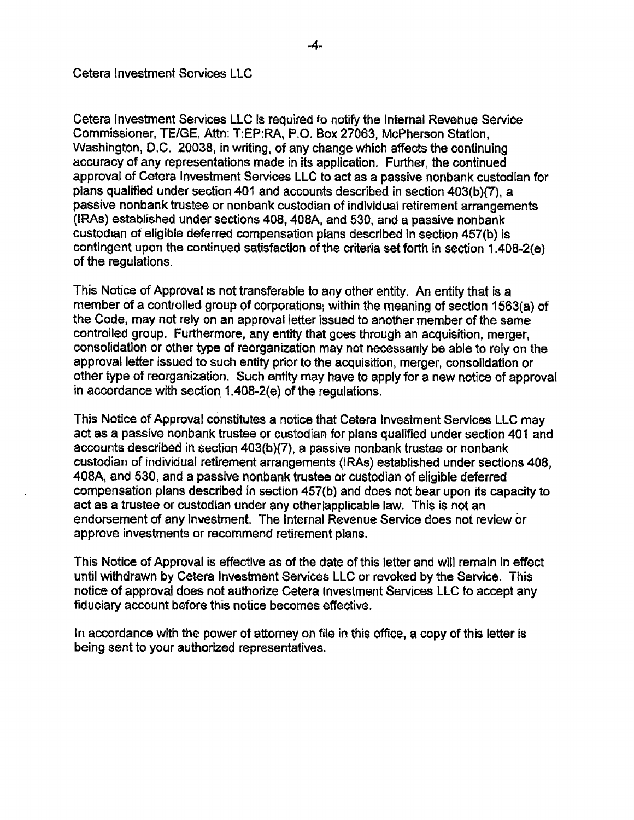Cetera Investment Services LLC is required to notify the Internal Revenue Service Commissioner, TE/GE, Attn: T:EP:RA, P.O. Box 27063, McPherson Station, Washington, D.C. 20038, in writing, of any change which affects the continuing accuracy of any representations made in its application. Further, the continued approval of Cetera Investment Services LLC to act as a passive nonbank custodian for plans qualified under section 401 and accounts described in section 403(b)(7), a passive nonbank trustee or nonbank custodian of individual retirement arrangements (IRAs) established under sections 408, 408A, and 530, and a passive nonbank custodian of eligible deferred compensation plans described in section 457(b) is contingent upon the continued satisfaction of the criteria set forth in section 1.408-2(e) of the regulations.

This Notice of Approval is not transferable to any other entity. An entity that is a member of a controlled group of corporations, within the meaning of section 1563(a) of the Code, may not rely on an approval letter issued to another member of the same controlled group. Furthermore, any entity that goes through an acquisition, merger, consolidation or other type of reorganization may not necessarily be able to rely on the approval letter issued to such entity prior to the acquisition, merger, consolidation or other type of reorganization. Such entity may have to apply for a new notice of approval in accordance with section 1.408-2(e) of the regulations.

This Notice of Approval constitutes a notice that Cetera Investment Services LLC may act as a passive nonbank trustee or custodian for plans qualified under section 401 and accounts described in section 403(b)(7), a passive nonbank trustee or nonbank custodian of individual retirement arrangements (IRAs) established under sections 408, 408A, and 530, and a passive nonbank trustee or custodian of eligible deferred compensation plans described in section 457(b) and does not bear upon its capacity to act as a trustee or custodian under any other applicable law. This is not an endorsement of any investment. The Internal Revenue Service does not review or approve investments or recommend retirement plans.

This Notice of Approval is effective as of the date of this letter and will remain in effect until withdrawn by Cetera Investment Services LLC or revoked by the Service. This notice of approval does not authorize Cetera Investment Services LLC to accept any fiduciary account before this notice becomes effective.

In accordance with the power of attorney on file in this office, a copy of this letter is being sent to your authorized representatives.